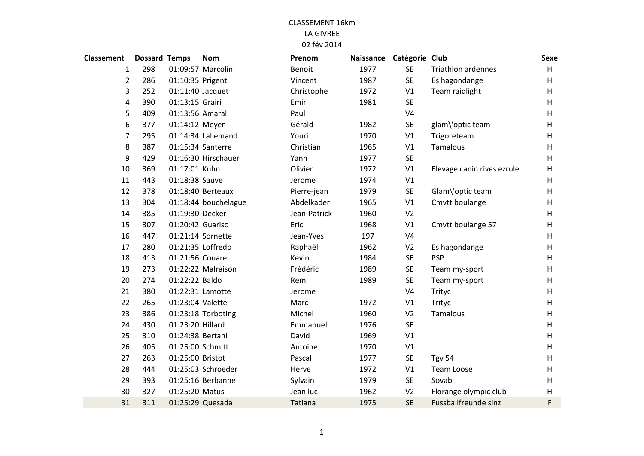| Classement     | <b>Dossard Temps</b> |                  | <b>Nom</b>           | Prenom       | Naissance | Catégorie Club |                             | <b>Sexe</b> |
|----------------|----------------------|------------------|----------------------|--------------|-----------|----------------|-----------------------------|-------------|
| $\mathbf{1}$   | 298                  |                  | 01:09:57 Marcolini   | Benoit       | 1977      | <b>SE</b>      | <b>Triathlon ardennes</b>   | H           |
| $\overline{2}$ | 286                  | 01:10:35 Prigent |                      | Vincent      | 1987      | <b>SE</b>      | Es hagondange               | H           |
| 3              | 252                  | 01:11:40 Jacquet |                      | Christophe   | 1972      | V1             | Team raidlight              | H           |
| 4              | 390                  | 01:13:15 Grairi  |                      | Emir         | 1981      | <b>SE</b>      |                             | H           |
| 5              | 409                  | 01:13:56 Amaral  |                      | Paul         |           | V <sub>4</sub> |                             | H           |
| 6              | 377                  | 01:14:12 Meyer   |                      | Gérald       | 1982      | <b>SE</b>      | glam\'optic team            | H           |
| 7              | 295                  |                  | 01:14:34 Lallemand   | Youri        | 1970      | V1             | Trigoreteam                 | H           |
| 8              | 387                  |                  | 01:15:34 Santerre    | Christian    | 1965      | V1             | <b>Tamalous</b>             | H           |
| 9              | 429                  |                  | 01:16:30 Hirschauer  | Yann         | 1977      | <b>SE</b>      |                             | H           |
| 10             | 369                  | 01:17:01 Kuhn    |                      | Olivier      | 1972      | V1             | Elevage canin rives ezrule  | H           |
| 11             | 443                  | 01:18:38 Sauve   |                      | Jerome       | 1974      | V1             |                             | H           |
| 12             | 378                  |                  | 01:18:40 Berteaux    | Pierre-jean  | 1979      | <b>SE</b>      | Glam\'optic team            | H           |
| 13             | 304                  |                  | 01:18:44 bouchelague | Abdelkader   | 1965      | V1             | Cmvtt boulange              | H           |
| 14             | 385                  | 01:19:30 Decker  |                      | Jean-Patrick | 1960      | V <sub>2</sub> |                             | H           |
| 15             | 307                  | 01:20:42 Guariso |                      | Eric         | 1968      | V1             | Cmvtt boulange 57           | H           |
| 16             | 447                  |                  | 01:21:14 Sornette    | Jean-Yves    | 197       | V <sub>4</sub> |                             | H           |
| 17             | 280                  |                  | 01:21:35 Loffredo    | Raphaël      | 1962      | V <sub>2</sub> | Es hagondange               | H           |
| 18             | 413                  | 01:21:56 Couarel |                      | Kevin        | 1984      | <b>SE</b>      | <b>PSP</b>                  | H           |
| 19             | 273                  |                  | 01:22:22 Malraison   | Frédéric     | 1989      | <b>SE</b>      | Team my-sport               | H           |
| 20             | 274                  | 01:22:22 Baldo   |                      | Remi         | 1989      | <b>SE</b>      | Team my-sport               | H           |
| 21             | 380                  |                  | 01:22:31 Lamotte     | Jerome       |           | V <sub>4</sub> | Trityc                      | H           |
| 22             | 265                  | 01:23:04 Valette |                      | Marc         | 1972      | V1             | Trityc                      | H           |
| 23             | 386                  |                  | 01:23:18 Torboting   | Michel       | 1960      | V <sub>2</sub> | Tamalous                    | H           |
| 24             | 430                  | 01:23:20 Hillard |                      | Emmanuel     | 1976      | <b>SE</b>      |                             | H           |
| 25             | 310                  | 01:24:38 Bertani |                      | David        | 1969      | V1             |                             | H           |
| 26             | 405                  | 01:25:00 Schmitt |                      | Antoine      | 1970      | V1             |                             | H           |
| 27             | 263                  | 01:25:00 Bristot |                      | Pascal       | 1977      | <b>SE</b>      | <b>Tgv 54</b>               | H           |
| 28             | 444                  |                  | 01:25:03 Schroeder   | Herve        | 1972      | V1             | Team Loose                  | H           |
| 29             | 393                  |                  | 01:25:16 Berbanne    | Sylvain      | 1979      | <b>SE</b>      | Sovab                       | H           |
| 30             | 327                  | 01:25:20 Matus   |                      | Jean luc     | 1962      | V <sub>2</sub> | Florange olympic club       | H           |
| 31             | 311                  |                  | 01:25:29 Quesada     | Tatiana      | 1975      | <b>SE</b>      | <b>Fussballfreunde sinz</b> | F           |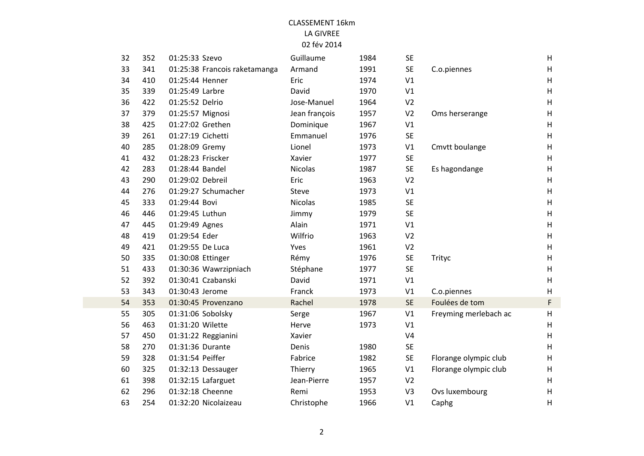| 32 | 352 | 01:25:33 Szevo                | Guillaume      | 1984 | <b>SE</b>      |                       | H                         |
|----|-----|-------------------------------|----------------|------|----------------|-----------------------|---------------------------|
| 33 | 341 | 01:25:38 Francois raketamanga | Armand         | 1991 | <b>SE</b>      | C.o.piennes           | H                         |
| 34 | 410 | 01:25:44 Henner               | Eric           | 1974 | V1             |                       | $\sf H$                   |
| 35 | 339 | 01:25:49 Larbre               | David          | 1970 | V1             |                       | $\sf H$                   |
| 36 | 422 | 01:25:52 Delrio               | Jose-Manuel    | 1964 | V <sub>2</sub> |                       | H                         |
| 37 | 379 | 01:25:57 Mignosi              | Jean françois  | 1957 | V <sub>2</sub> | Oms herserange        | $\sf H$                   |
| 38 | 425 | 01:27:02 Grethen              | Dominique      | 1967 | V1             |                       | $\boldsymbol{\mathsf{H}}$ |
| 39 | 261 | 01:27:19 Cichetti             | Emmanuel       | 1976 | <b>SE</b>      |                       | H                         |
| 40 | 285 | 01:28:09 Gremy                | Lionel         | 1973 | V1             | Cmvtt boulange        | $\sf H$                   |
| 41 | 432 | 01:28:23 Friscker             | Xavier         | 1977 | <b>SE</b>      |                       | H                         |
| 42 | 283 | 01:28:44 Bandel               | <b>Nicolas</b> | 1987 | SE             | Es hagondange         | $\sf H$                   |
| 43 | 290 | 01:29:02 Debreil              | Eric           | 1963 | V <sub>2</sub> |                       | $\sf H$                   |
| 44 | 276 | 01:29:27 Schumacher           | <b>Steve</b>   | 1973 | V1             |                       | H                         |
| 45 | 333 | 01:29:44 Bovi                 | <b>Nicolas</b> | 1985 | <b>SE</b>      |                       | H                         |
| 46 | 446 | 01:29:45 Luthun               | Jimmy          | 1979 | <b>SE</b>      |                       | $\sf H$                   |
| 47 | 445 | 01:29:49 Agnes                | Alain          | 1971 | V1             |                       | $\sf H$                   |
| 48 | 419 | 01:29:54 Eder                 | Wilfrio        | 1963 | V <sub>2</sub> |                       | $\sf H$                   |
| 49 | 421 | 01:29:55 De Luca              | Yves           | 1961 | V <sub>2</sub> |                       | H                         |
| 50 | 335 | 01:30:08 Ettinger             | Rémy           | 1976 | SE             | Trityc                | H                         |
| 51 | 433 | 01:30:36 Wawrzipniach         | Stéphane       | 1977 | <b>SE</b>      |                       | $\sf H$                   |
| 52 | 392 | 01:30:41 Czabanski            | David          | 1971 | V1             |                       | $\boldsymbol{\mathsf{H}}$ |
| 53 | 343 | 01:30:43 Jerome               | Franck         | 1973 | V1             | C.o.piennes           | $\sf H$                   |
| 54 | 353 | 01:30:45 Provenzano           | Rachel         | 1978 | <b>SE</b>      | Foulées de tom        | $\mathsf{F}$              |
| 55 | 305 | 01:31:06 Sobolsky             | Serge          | 1967 | V1             | Freyming merlebach ac | H                         |
| 56 | 463 | 01:31:20 Wilette              | Herve          | 1973 | V1             |                       | H                         |
| 57 | 450 | 01:31:22 Reggianini           | Xavier         |      | V <sub>4</sub> |                       | $\sf H$                   |
| 58 | 270 | 01:31:36 Durante              | Denis          | 1980 | <b>SE</b>      |                       | H                         |
| 59 | 328 | 01:31:54 Peiffer              | Fabrice        | 1982 | SE             | Florange olympic club | H                         |
| 60 | 325 | 01:32:13 Dessauger            | Thierry        | 1965 | V1             | Florange olympic club | $\sf H$                   |
| 61 | 398 | 01:32:15 Lafarguet            | Jean-Pierre    | 1957 | V <sub>2</sub> |                       | $\sf H$                   |
| 62 | 296 | 01:32:18 Cheenne              | Remi           | 1953 | V3             | Ovs luxembourg        | $\sf H$                   |
| 63 | 254 | 01:32:20 Nicolaizeau          | Christophe     | 1966 | V1             | Caphg                 | H                         |
|    |     |                               |                |      |                |                       |                           |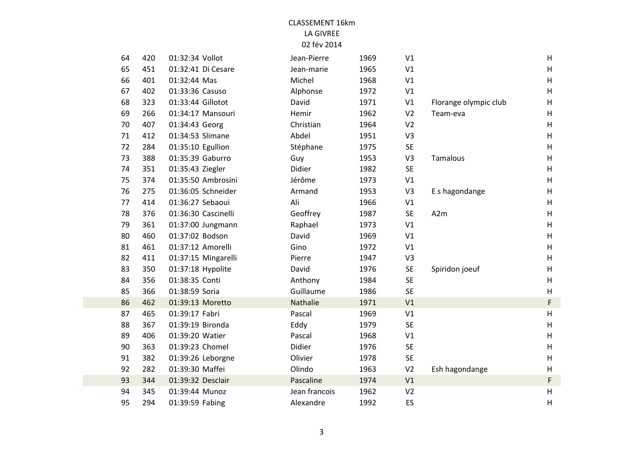| 64 | 420 | 01:32:34 Vollot   |                     | Jean-Pierre   | 1969 | V1             |                       | H                         |
|----|-----|-------------------|---------------------|---------------|------|----------------|-----------------------|---------------------------|
| 65 | 451 |                   | 01:32:41 Di Cesare  | Jean-marie    | 1965 | V1             |                       | $\mathsf H$               |
| 66 | 401 | 01:32:44 Mas      |                     | Michel        | 1968 | V1             |                       | H                         |
| 67 | 402 | 01:33:36 Casuso   |                     | Alphonse      | 1972 | V1             |                       | H                         |
| 68 | 323 | 01:33:44 Gillotot |                     | David         | 1971 | V1             | Florange olympic club | H                         |
| 69 | 266 |                   | 01:34:17 Mansouri   | Hemir         | 1962 | V <sub>2</sub> | Team-eva              | H                         |
| 70 | 407 | 01:34:43 Georg    |                     | Christian     | 1964 | V <sub>2</sub> |                       | H                         |
| 71 | 412 | 01:34:53 Slimane  |                     | Abdel         | 1951 | V <sub>3</sub> |                       | H                         |
| 72 | 284 | 01:35:10 Egullion |                     | Stéphane      | 1975 | <b>SE</b>      |                       | H                         |
| 73 | 388 | 01:35:39 Gaburro  |                     | Guy           | 1953 | V <sub>3</sub> | Tamalous              | H                         |
| 74 | 351 | 01:35:43 Ziegler  |                     | Didier        | 1982 | <b>SE</b>      |                       | $\mathsf H$               |
| 75 | 374 |                   | 01:35:50 Ambrosini  | Jérôme        | 1973 | V1             |                       | H                         |
| 76 | 275 |                   | 01:36:05 Schneider  | Armand        | 1953 | V <sub>3</sub> | E s hagondange        | H                         |
| 77 | 414 | 01:36:27 Sebaoui  |                     | Ali           | 1966 | V1             |                       | H                         |
| 78 | 376 |                   | 01:36:30 Cascinelli | Geoffrey      | 1987 | <b>SE</b>      | A <sub>2m</sub>       | $\boldsymbol{\mathsf{H}}$ |
| 79 | 361 |                   | 01:37:00 Jungmann   | Raphael       | 1973 | V1             |                       | H                         |
| 80 | 460 | 01:37:02 Bodson   |                     | David         | 1969 | V1             |                       | $\boldsymbol{\mathsf{H}}$ |
| 81 | 461 | 01:37:12 Amorelli |                     | Gino          | 1972 | V1             |                       | H                         |
| 82 | 411 |                   | 01:37:15 Mingarelli | Pierre        | 1947 | V3             |                       | H                         |
| 83 | 350 | 01:37:18 Hypolite |                     | David         | 1976 | <b>SE</b>      | Spiridon joeuf        | H                         |
| 84 | 356 | 01:38:35 Conti    |                     | Anthony       | 1984 | <b>SE</b>      |                       | H                         |
| 85 | 366 | 01:38:59 Soria    |                     | Guillaume     | 1986 | <b>SE</b>      |                       | H                         |
| 86 | 462 | 01:39:13 Moretto  |                     | Nathalie      | 1971 | V1             |                       | $\mathsf F$               |
| 87 | 465 | 01:39:17 Fabri    |                     | Pascal        | 1969 | V1             |                       | H                         |
| 88 | 367 | 01:39:19 Bironda  |                     | Eddy          | 1979 | <b>SE</b>      |                       | $\boldsymbol{\mathsf{H}}$ |
| 89 | 406 | 01:39:20 Watier   |                     | Pascal        | 1968 | V1             |                       | $\boldsymbol{\mathsf{H}}$ |
| 90 | 363 | 01:39:23 Chomel   |                     | Didier        | 1976 | <b>SE</b>      |                       | $\mathsf H$               |
| 91 | 382 |                   | 01:39:26 Leborgne   | Olivier       | 1978 | <b>SE</b>      |                       | H                         |
| 92 | 282 | 01:39:30 Maffei   |                     | Olindo        | 1963 | V <sub>2</sub> | Esh hagondange        | H                         |
| 93 | 344 | 01:39:32 Desclair |                     | Pascaline     | 1974 | V1             |                       | $\mathsf F$               |
| 94 | 345 | 01:39:44 Munoz    |                     | Jean francois | 1962 | V <sub>2</sub> |                       | $\boldsymbol{\mathsf{H}}$ |
| 95 | 294 | 01:39:59 Fabing   |                     | Alexandre     | 1992 | ES             |                       | H                         |
|    |     |                   |                     |               |      |                |                       |                           |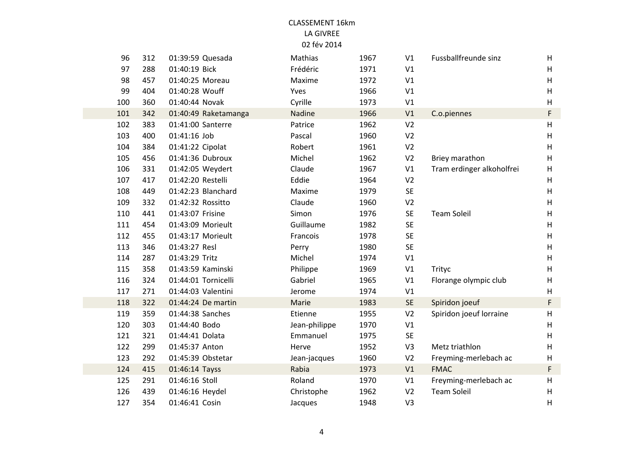| 96  | 312 | 01:39:59 Quesada     | Mathias       | 1967 | V1             | Fussballfreunde sinz      | H                         |
|-----|-----|----------------------|---------------|------|----------------|---------------------------|---------------------------|
| 97  | 288 | 01:40:19 Bick        | Frédéric      | 1971 | V1             |                           | H                         |
| 98  | 457 | 01:40:25 Moreau      | Maxime        | 1972 | V1             |                           | H                         |
| 99  | 404 | 01:40:28 Wouff       | Yves          | 1966 | V1             |                           | $\boldsymbol{\mathsf{H}}$ |
| 100 | 360 | 01:40:44 Novak       | Cyrille       | 1973 | V1             |                           | H                         |
| 101 | 342 | 01:40:49 Raketamanga | Nadine        | 1966 | V1             | C.o.piennes               | F                         |
| 102 | 383 | 01:41:00 Santerre    | Patrice       | 1962 | V <sub>2</sub> |                           | H                         |
| 103 | 400 | 01:41:16 Job         | Pascal        | 1960 | V <sub>2</sub> |                           | H                         |
| 104 | 384 | 01:41:22 Cipolat     | Robert        | 1961 | V <sub>2</sub> |                           | H                         |
| 105 | 456 | 01:41:36 Dubroux     | Michel        | 1962 | V <sub>2</sub> | Briey marathon            | H                         |
| 106 | 331 | 01:42:05 Weydert     | Claude        | 1967 | V1             | Tram erdinger alkoholfrei | H                         |
| 107 | 417 | 01:42:20 Restelli    | Eddie         | 1964 | V <sub>2</sub> |                           | H                         |
| 108 | 449 | 01:42:23 Blanchard   | Maxime        | 1979 | <b>SE</b>      |                           | H                         |
| 109 | 332 | 01:42:32 Rossitto    | Claude        | 1960 | V <sub>2</sub> |                           | H                         |
| 110 | 441 | 01:43:07 Frisine     | Simon         | 1976 | <b>SE</b>      | <b>Team Soleil</b>        | H                         |
| 111 | 454 | 01:43:09 Morieult    | Guillaume     | 1982 | <b>SE</b>      |                           | $\boldsymbol{\mathsf{H}}$ |
| 112 | 455 | 01:43:17 Morieult    | Francois      | 1978 | <b>SE</b>      |                           | $\boldsymbol{\mathsf{H}}$ |
| 113 | 346 | 01:43:27 Resl        | Perry         | 1980 | <b>SE</b>      |                           | $\boldsymbol{\mathsf{H}}$ |
| 114 | 287 | 01:43:29 Tritz       | Michel        | 1974 | V1             |                           | H                         |
| 115 | 358 | 01:43:59 Kaminski    | Philippe      | 1969 | V1             | Trityc                    | $\boldsymbol{\mathsf{H}}$ |
| 116 | 324 | 01:44:01 Tornicelli  | Gabriel       | 1965 | V1             | Florange olympic club     | H                         |
| 117 | 271 | 01:44:03 Valentini   | Jerome        | 1974 | V1             |                           | H                         |
| 118 | 322 | 01:44:24 De martin   | Marie         | 1983 | <b>SE</b>      | Spiridon joeuf            | F                         |
| 119 | 359 | 01:44:38 Sanches     | Etienne       | 1955 | V <sub>2</sub> | Spiridon joeuf lorraine   | $\boldsymbol{\mathsf{H}}$ |
| 120 | 303 | 01:44:40 Bodo        | Jean-philippe | 1970 | V1             |                           | H                         |
| 121 | 321 | 01:44:41 Dolata      | Emmanuel      | 1975 | <b>SE</b>      |                           | H                         |
| 122 | 299 | 01:45:37 Anton       | Herve         | 1952 | V3             | Metz triathlon            | H                         |
| 123 | 292 | 01:45:39 Obstetar    | Jean-jacques  | 1960 | V <sub>2</sub> | Freyming-merlebach ac     | $\boldsymbol{\mathsf{H}}$ |
| 124 | 415 | 01:46:14 Tayss       | Rabia         | 1973 | V1             | <b>FMAC</b>               | F                         |
| 125 | 291 | 01:46:16 Stoll       | Roland        | 1970 | V1             | Freyming-merlebach ac     | $\boldsymbol{\mathsf{H}}$ |
| 126 | 439 | 01:46:16 Heydel      | Christophe    | 1962 | V <sub>2</sub> | <b>Team Soleil</b>        | $\boldsymbol{\mathsf{H}}$ |
| 127 | 354 | 01:46:41 Cosin       | Jacques       | 1948 | V <sub>3</sub> |                           | H                         |
|     |     |                      |               |      |                |                           |                           |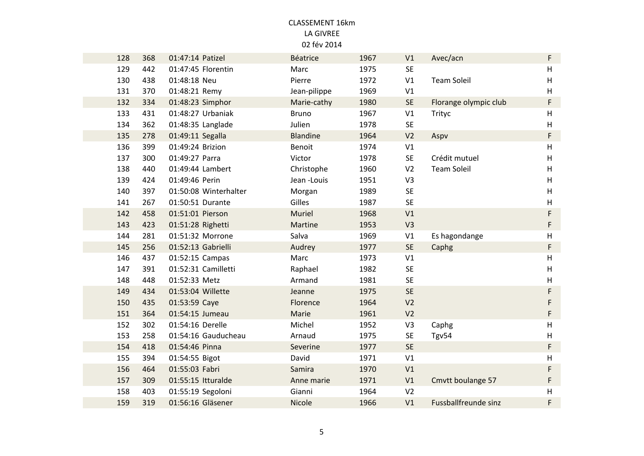| 128 | 368 | 01:47:14 Patizel   |                       | Béatrice        | 1967 | V1             | Avec/acn                    | F           |
|-----|-----|--------------------|-----------------------|-----------------|------|----------------|-----------------------------|-------------|
| 129 | 442 |                    | 01:47:45 Florentin    | Marc            | 1975 | <b>SE</b>      |                             | $\sf H$     |
| 130 | 438 | 01:48:18 Neu       |                       | Pierre          | 1972 | V1             | <b>Team Soleil</b>          | H           |
| 131 | 370 | 01:48:21 Remy      |                       | Jean-pilippe    | 1969 | V1             |                             | H           |
| 132 | 334 | 01:48:23 Simphor   |                       | Marie-cathy     | 1980 | <b>SE</b>      | Florange olympic club       | F           |
| 133 | 431 |                    | 01:48:27 Urbaniak     | <b>Bruno</b>    | 1967 | V1             | Trityc                      | H           |
| 134 | 362 | 01:48:35 Langlade  |                       | Julien          | 1978 | <b>SE</b>      |                             | H           |
| 135 | 278 | 01:49:11 Segalla   |                       | <b>Blandine</b> | 1964 | V <sub>2</sub> | Aspv                        | F           |
| 136 | 399 | 01:49:24 Brizion   |                       | Benoit          | 1974 | V1             |                             | $\sf H$     |
| 137 | 300 | 01:49:27 Parra     |                       | Victor          | 1978 | SE             | Crédit mutuel               | H           |
| 138 | 440 | 01:49:44 Lambert   |                       | Christophe      | 1960 | V <sub>2</sub> | <b>Team Soleil</b>          | H           |
| 139 | 424 | 01:49:46 Perin     |                       | Jean -Louis     | 1951 | V3             |                             | H           |
| 140 | 397 |                    | 01:50:08 Winterhalter | Morgan          | 1989 | <b>SE</b>      |                             | H           |
| 141 | 267 | 01:50:51 Durante   |                       | Gilles          | 1987 | <b>SE</b>      |                             | $\sf H$     |
| 142 | 458 | 01:51:01 Pierson   |                       | <b>Muriel</b>   | 1968 | V <sub>1</sub> |                             | F           |
| 143 | 423 | 01:51:28 Righetti  |                       | Martine         | 1953 | V <sub>3</sub> |                             | $\mathsf F$ |
| 144 | 281 | 01:51:32 Morrone   |                       | Salva           | 1969 | V1             | Es hagondange               | H           |
| 145 | 256 | 01:52:13 Gabrielli |                       | Audrey          | 1977 | <b>SE</b>      | Caphg                       | F           |
| 146 | 437 | 01:52:15 Campas    |                       | Marc            | 1973 | V1             |                             | H           |
| 147 | 391 |                    | 01:52:31 Camilletti   | Raphael         | 1982 | <b>SE</b>      |                             | $\sf H$     |
| 148 | 448 | 01:52:33 Metz      |                       | Armand          | 1981 | SE             |                             | $\sf H$     |
| 149 | 434 | 01:53:04 Willette  |                       | Jeanne          | 1975 | <b>SE</b>      |                             | F           |
| 150 | 435 | 01:53:59 Caye      |                       | Florence        | 1964 | V <sub>2</sub> |                             | F           |
| 151 | 364 | 01:54:15 Jumeau    |                       | Marie           | 1961 | V <sub>2</sub> |                             | F           |
| 152 | 302 | 01:54:16 Derelle   |                       | Michel          | 1952 | V3             | Caphg                       | H           |
| 153 | 258 |                    | 01:54:16 Gauducheau   | Arnaud          | 1975 | <b>SE</b>      | Tgv54                       | $\sf H$     |
| 154 | 418 | 01:54:46 Pinna     |                       | Severine        | 1977 | <b>SE</b>      |                             | F           |
| 155 | 394 | 01:54:55 Bigot     |                       | David           | 1971 | V1             |                             | H           |
| 156 | 464 | 01:55:03 Fabri     |                       | Samira          | 1970 | V1             |                             | F           |
| 157 | 309 | 01:55:15 Itturalde |                       | Anne marie      | 1971 | V1             | Cmvtt boulange 57           | F           |
| 158 | 403 | 01:55:19 Segoloni  |                       | Gianni          | 1964 | V <sub>2</sub> |                             | $\sf H$     |
| 159 | 319 | 01:56:16 Gläsener  |                       | Nicole          | 1966 | V1             | <b>Fussballfreunde sinz</b> | F           |
|     |     |                    |                       |                 |      |                |                             |             |